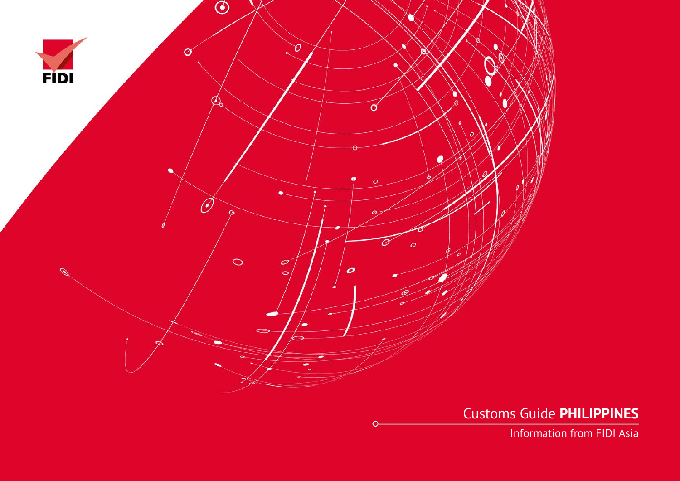

Customs Guide **PHILIPPINES**

Information from FIDI Asia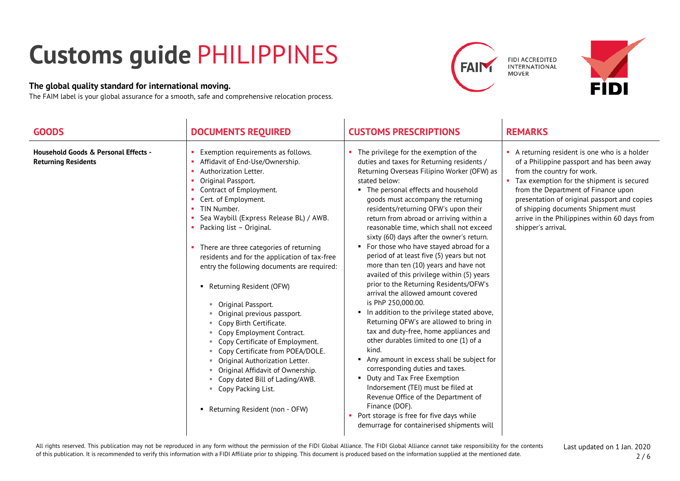## **Customs guide** PHILIPPINES

## **The global quality standard for international moving.**

The FAIM label is your global assurance for a smooth, safe and comprehensive relocation process.





| <b>GOODS</b>                                                                  | <b>DOCUMENTS REQUIRED</b>                                                                                                                                                                                                                                                                                                                                                                                                                                                                                                                                                                                                                                                                                                                                                                                                                          | <b>CUSTOMS PRESCRIPTIONS</b>                                                                                                                                                                                                                                                                                                                                                                                                                                                                                                                                                                                                                                                                                                                                                                                                                                                                                                                                                                                                                                                                                                                                                                            | <b>REMARKS</b>                                                                                                                                                                                                                                                                                                                                                                  |
|-------------------------------------------------------------------------------|----------------------------------------------------------------------------------------------------------------------------------------------------------------------------------------------------------------------------------------------------------------------------------------------------------------------------------------------------------------------------------------------------------------------------------------------------------------------------------------------------------------------------------------------------------------------------------------------------------------------------------------------------------------------------------------------------------------------------------------------------------------------------------------------------------------------------------------------------|---------------------------------------------------------------------------------------------------------------------------------------------------------------------------------------------------------------------------------------------------------------------------------------------------------------------------------------------------------------------------------------------------------------------------------------------------------------------------------------------------------------------------------------------------------------------------------------------------------------------------------------------------------------------------------------------------------------------------------------------------------------------------------------------------------------------------------------------------------------------------------------------------------------------------------------------------------------------------------------------------------------------------------------------------------------------------------------------------------------------------------------------------------------------------------------------------------|---------------------------------------------------------------------------------------------------------------------------------------------------------------------------------------------------------------------------------------------------------------------------------------------------------------------------------------------------------------------------------|
| <b>Household Goods &amp; Personal Effects -</b><br><b>Returning Residents</b> | Exemption requirements as follows.<br>Affidavit of End-Use/Ownership.<br>Authorization Letter.<br>п.<br>Original Passport.<br>п.<br>Contract of Employment.<br>m.<br>Cert. of Employment.<br>TIN Number.<br>Sea Waybill (Express Release BL) / AWB.<br>• Packing list - Original.<br>• There are three categories of returning<br>residents and for the application of tax-free<br>entry the following documents are required:<br>Returning Resident (OFW)<br>Original Passport.<br>٠<br>Original previous passport.<br>Copy Birth Certificate.<br>٠<br>" Copy Employment Contract.<br>Copy Certificate of Employment.<br>a.<br>Copy Certificate from POEA/DOLE.<br>m.<br>Original Authorization Letter.<br>Original Affidavit of Ownership.<br>Copy dated Bill of Lading/AWB.<br>m.<br>Copy Packing List.<br>m.<br>Returning Resident (non - OFW) | • The privilege for the exemption of the<br>duties and taxes for Returning residents /<br>Returning Overseas Filipino Worker (OFW) as<br>stated below:<br>• The personal effects and household<br>goods must accompany the returning<br>residents/returning OFW's upon their<br>return from abroad or arriving within a<br>reasonable time, which shall not exceed<br>sixty (60) days after the owner's return.<br>• For those who have stayed abroad for a<br>period of at least five (5) years but not<br>more than ten (10) years and have not<br>availed of this privilege within (5) years<br>prior to the Returning Residents/OFW's<br>arrival the allowed amount covered<br>is PhP 250,000.00.<br>In addition to the privilege stated above,<br>Returning OFW's are allowed to bring in<br>tax and duty-free, home appliances and<br>other durables limited to one (1) of a<br>kind.<br>• Any amount in excess shall be subject for<br>corresponding duties and taxes.<br>• Duty and Tax Free Exemption<br>Indorsement (TEI) must be filed at<br>Revenue Office of the Department of<br>Finance (DOF).<br>Port storage is free for five days while<br>demurrage for containerised shipments will | A returning resident is one who is a holder<br>of a Philippine passport and has been away<br>from the country for work.<br>Tax exemption for the shipment is secured<br>×.<br>from the Department of Finance upon<br>presentation of original passport and copies<br>of shipping documents Shipment must<br>arrive in the Philippines within 60 days from<br>shipper's arrival. |

Last updated on 1 Jan. 2020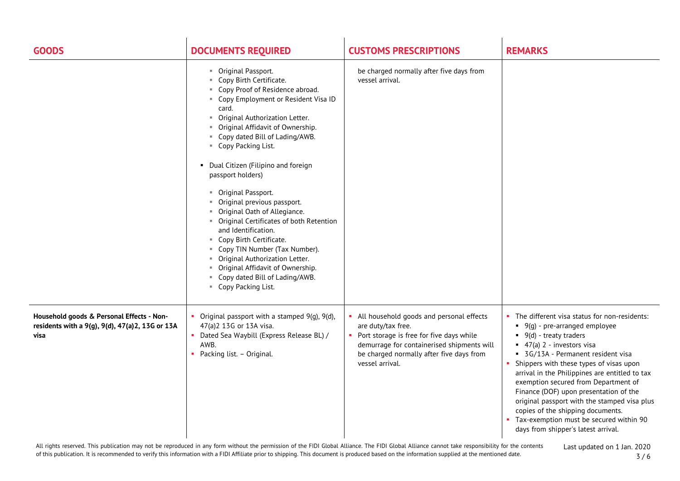| <b>GOODS</b>                                                                                         | <b>DOCUMENTS REQUIRED</b>                                                                                                                                                                                                                                                                                                                                                                                                                                                                                                                                                                                                                                                                                | <b>CUSTOMS PRESCRIPTIONS</b>                                                                                                                                                                                            | <b>REMARKS</b>                                                                                                                                                                                                                                                                                                                                                                                                                                                                                                                                     |
|------------------------------------------------------------------------------------------------------|----------------------------------------------------------------------------------------------------------------------------------------------------------------------------------------------------------------------------------------------------------------------------------------------------------------------------------------------------------------------------------------------------------------------------------------------------------------------------------------------------------------------------------------------------------------------------------------------------------------------------------------------------------------------------------------------------------|-------------------------------------------------------------------------------------------------------------------------------------------------------------------------------------------------------------------------|----------------------------------------------------------------------------------------------------------------------------------------------------------------------------------------------------------------------------------------------------------------------------------------------------------------------------------------------------------------------------------------------------------------------------------------------------------------------------------------------------------------------------------------------------|
|                                                                                                      | • Original Passport.<br>" Copy Birth Certificate.<br>Copy Proof of Residence abroad.<br>" Copy Employment or Resident Visa ID<br>card.<br>Original Authorization Letter.<br>л.<br>Original Affidavit of Ownership.<br>" Copy dated Bill of Lading/AWB.<br>" Copy Packing List.<br>• Dual Citizen (Filipino and foreign<br>passport holders)<br>Original Passport.<br>m.<br>Original previous passport.<br>Original Oath of Allegiance.<br>• Original Certificates of both Retention<br>and Identification.<br>" Copy Birth Certificate.<br>Copy TIN Number (Tax Number).<br>Original Authorization Letter.<br>Original Affidavit of Ownership.<br>Copy dated Bill of Lading/AWB.<br>" Copy Packing List. | be charged normally after five days from<br>vessel arrival.                                                                                                                                                             |                                                                                                                                                                                                                                                                                                                                                                                                                                                                                                                                                    |
| Household goods & Personal Effects - Non-<br>residents with a 9(g), 9(d), 47(a)2, 13G or 13A<br>visa | • Original passport with a stamped 9(g), 9(d),<br>47(a)2 13G or 13A visa.<br>• Dated Sea Waybill (Express Release BL) /<br>AWB.<br>• Packing list. - Original.                                                                                                                                                                                                                                                                                                                                                                                                                                                                                                                                           | All household goods and personal effects<br>are duty/tax free.<br>Port storage is free for five days while<br>demurrage for containerised shipments will<br>be charged normally after five days from<br>vessel arrival. | The different visa status for non-residents:<br>• 9(g) - pre-arranged employee<br>$9(d)$ - treaty traders<br>$\blacksquare$ 47(a) 2 - investors visa<br>• 3G/13A - Permanent resident visa<br>Shippers with these types of visas upon<br>arrival in the Philippines are entitled to tax<br>exemption secured from Department of<br>Finance (DOF) upon presentation of the<br>original passport with the stamped visa plus<br>copies of the shipping documents.<br>• Tax-exemption must be secured within 90<br>days from shipper's latest arrival. |

All rights reserved. This publication may not be reproduced in any form without the permission of the FIDI Global Alliance. The FIDI Global Alliance cannot take responsibility for the contents of this publication. It is recommended to verify this information with a FIDI Affiliate prior to shipping. This document is produced based on the information supplied at the mentioned date.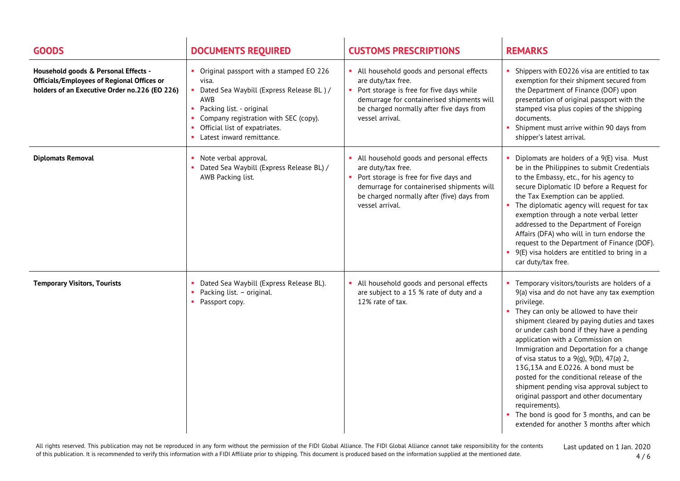| <b>GOODS</b>                                                                                                                        | <b>DOCUMENTS REQUIRED</b>                                                                                                                                                                                                                   | <b>CUSTOMS PRESCRIPTIONS</b>                                                                                                                                                                                              | <b>REMARKS</b>                                                                                                                                                                                                                                                                                                                                                                                                                                                                                                                                                                                                                                                     |
|-------------------------------------------------------------------------------------------------------------------------------------|---------------------------------------------------------------------------------------------------------------------------------------------------------------------------------------------------------------------------------------------|---------------------------------------------------------------------------------------------------------------------------------------------------------------------------------------------------------------------------|--------------------------------------------------------------------------------------------------------------------------------------------------------------------------------------------------------------------------------------------------------------------------------------------------------------------------------------------------------------------------------------------------------------------------------------------------------------------------------------------------------------------------------------------------------------------------------------------------------------------------------------------------------------------|
| Household goods & Personal Effects -<br>Officials/Employees of Regional Offices or<br>holders of an Executive Order no.226 (EO 226) | Original passport with a stamped EO 226<br>visa.<br>Dated Sea Waybill (Express Release BL)/<br>AWB<br>Packing list. - original<br>×.<br>Company registration with SEC (copy).<br>Official list of expatriates.<br>Latest inward remittance. | All household goods and personal effects<br>are duty/tax free.<br>• Port storage is free for five days while<br>demurrage for containerised shipments will<br>be charged normally after five days from<br>vessel arrival. | Shippers with EO226 visa are entitled to tax<br>exemption for their shipment secured from<br>the Department of Finance (DOF) upon<br>presentation of original passport with the<br>stamped visa plus copies of the shipping<br>documents.<br>Shipment must arrive within 90 days from<br>shipper's latest arrival.                                                                                                                                                                                                                                                                                                                                                 |
| <b>Diplomats Removal</b>                                                                                                            | Note verbal approval.<br>Dated Sea Waybill (Express Release BL) /<br>AWB Packing list.                                                                                                                                                      | All household goods and personal effects<br>are duty/tax free.<br>• Port storage is free for five days and<br>demurrage for containerised shipments will<br>be charged normally after (five) days from<br>vessel arrival. | Diplomats are holders of a 9(E) visa. Must<br>be in the Philippines to submit Credentials<br>to the Embassy, etc., for his agency to<br>secure Diplomatic ID before a Request for<br>the Tax Exemption can be applied.<br>The diplomatic agency will request for tax<br>exemption through a note verbal letter<br>addressed to the Department of Foreign<br>Affairs (DFA) who will in turn endorse the<br>request to the Department of Finance (DOF).<br>9(E) visa holders are entitled to bring in a<br>car duty/tax free.                                                                                                                                        |
| <b>Temporary Visitors, Tourists</b>                                                                                                 | Dated Sea Waybill (Express Release BL).<br>Packing list. - original.<br>×.<br>Passport copy.                                                                                                                                                | All household goods and personal effects<br>are subject to a 15 % rate of duty and a<br>12% rate of tax.                                                                                                                  | Temporary visitors/tourists are holders of a<br>9(a) visa and do not have any tax exemption<br>privilege.<br>They can only be allowed to have their<br>shipment cleared by paying duties and taxes<br>or under cash bond if they have a pending<br>application with a Commission on<br>Immigration and Deportation for a change<br>of visa status to a 9(g), 9(D), 47(a) 2,<br>13G,13A and E.O226. A bond must be<br>posted for the conditional release of the<br>shipment pending visa approval subject to<br>original passport and other documentary<br>requirements).<br>The bond is good for 3 months, and can be<br>extended for another 3 months after which |

All rights reserved. This publication may not be reproduced in any form without the permission of the FIDI Global Alliance. The FIDI Global Alliance cannot take responsibility for the contents of this publication. It is recommended to verify this information with a FIDI Affiliate prior to shipping. This document is produced based on the information supplied at the mentioned date.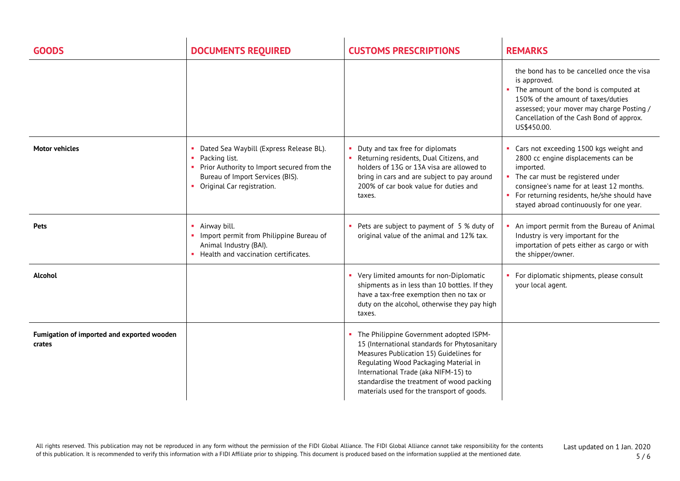| <b>GOODS</b>                                         | <b>DOCUMENTS REQUIRED</b>                                                                                                                                                    | <b>CUSTOMS PRESCRIPTIONS</b>                                                                                                                                                                                                                                                                                    | <b>REMARKS</b>                                                                                                                                                                                                                                                            |
|------------------------------------------------------|------------------------------------------------------------------------------------------------------------------------------------------------------------------------------|-----------------------------------------------------------------------------------------------------------------------------------------------------------------------------------------------------------------------------------------------------------------------------------------------------------------|---------------------------------------------------------------------------------------------------------------------------------------------------------------------------------------------------------------------------------------------------------------------------|
|                                                      |                                                                                                                                                                              |                                                                                                                                                                                                                                                                                                                 | the bond has to be cancelled once the visa<br>is approved.<br>• The amount of the bond is computed at<br>150% of the amount of taxes/duties<br>assessed; your mover may charge Posting /<br>Cancellation of the Cash Bond of approx.<br>US\$450.00.                       |
| <b>Motor vehicles</b>                                | Dated Sea Waybill (Express Release BL).<br>Packing list.<br>• Prior Authority to Import secured from the<br>Bureau of Import Services (BIS).<br>• Original Car registration. | Duty and tax free for diplomats<br>• Returning residents, Dual Citizens, and<br>holders of 13G or 13A visa are allowed to<br>bring in cars and are subject to pay around<br>200% of car book value for duties and<br>taxes.                                                                                     | Cars not exceeding 1500 kgs weight and<br>2800 cc engine displacements can be<br>imported.<br>• The car must be registered under<br>consignee's name for at least 12 months.<br>• For returning residents, he/she should have<br>stayed abroad continuously for one year. |
| Pets                                                 | • Airway bill.<br>Import permit from Philippine Bureau of<br>Animal Industry (BAI).<br>• Health and vaccination certificates.                                                | Pets are subject to payment of 5 % duty of<br>original value of the animal and 12% tax.                                                                                                                                                                                                                         | An import permit from the Bureau of Animal<br>Industry is very important for the<br>importation of pets either as cargo or with<br>the shipper/owner.                                                                                                                     |
| <b>Alcohol</b>                                       |                                                                                                                                                                              | • Very limited amounts for non-Diplomatic<br>shipments as in less than 10 bottles. If they<br>have a tax-free exemption then no tax or<br>duty on the alcohol, otherwise they pay high<br>taxes.                                                                                                                | • For diplomatic shipments, please consult<br>your local agent.                                                                                                                                                                                                           |
| Fumigation of imported and exported wooden<br>crates |                                                                                                                                                                              | The Philippine Government adopted ISPM-<br>15 (International standards for Phytosanitary<br>Measures Publication 15) Guidelines for<br>Regulating Wood Packaging Material in<br>International Trade (aka NIFM-15) to<br>standardise the treatment of wood packing<br>materials used for the transport of goods. |                                                                                                                                                                                                                                                                           |